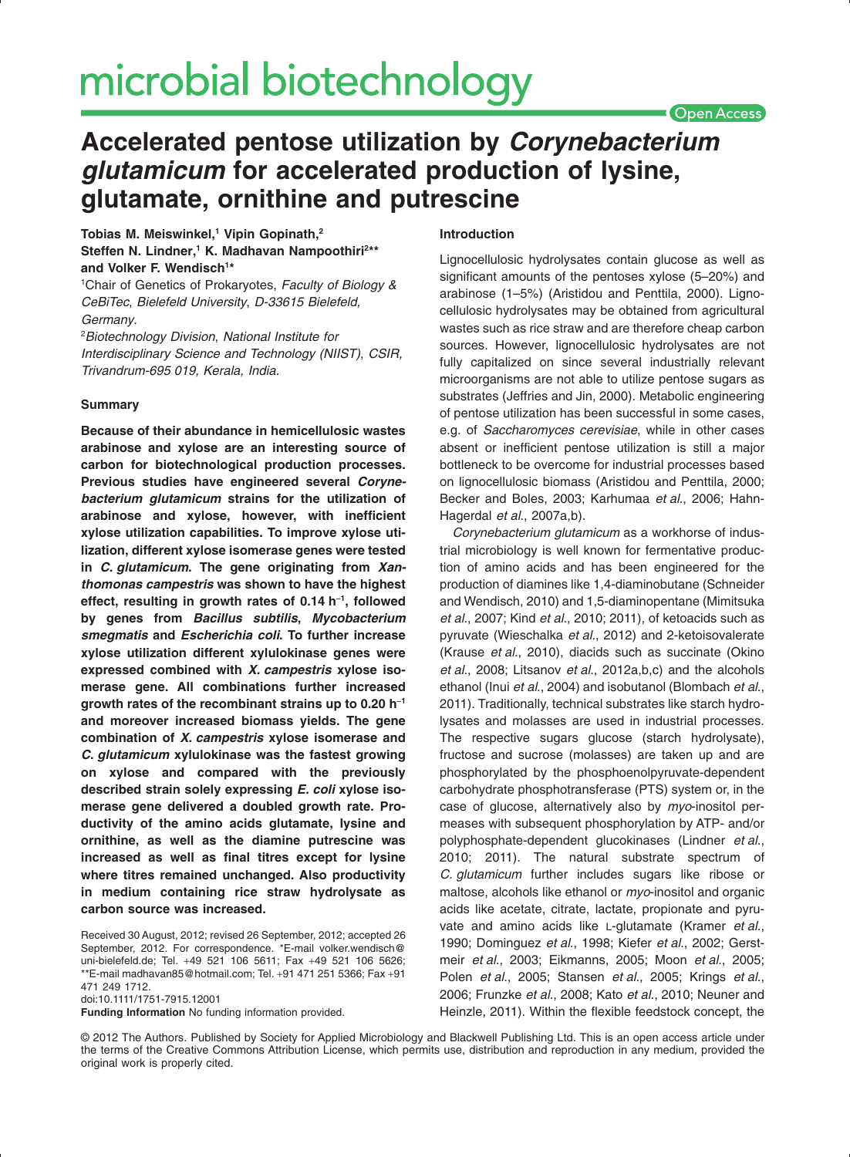# microbial biotechnology

## **Open Access**

# **Accelerated pentose utilization by** *Corynebacterium glutamicum* **for accelerated production of lysine, glutamate, ornithine and putrescine**

# **Tobias M. Meiswinkel,1 Vipin Gopinath,2** Steffen N. Lindner,<sup>1</sup> K. Madhavan Nampoothiri<sup>2\*\*</sup> **and Volker F. Wendisch1 \***

1 Chair of Genetics of Prokaryotes, *Faculty of Biology & CeBiTec*, *Bielefeld University*, *D-33615 Bielefeld, Germany.*

2 *Biotechnology Division*, *National Institute for Interdisciplinary Science and Technology (NIIST)*, *CSIR, Trivandrum-695 019, Kerala, India.*

### **Summary**

**Because of their abundance in hemicellulosic wastes arabinose and xylose are an interesting source of carbon for biotechnological production processes. Previous studies have engineered several** *Corynebacterium glutamicum* **strains for the utilization of arabinose and xylose, however, with inefficient xylose utilization capabilities. To improve xylose utilization, different xylose isomerase genes were tested in** *C. glutamicum***. The gene originating from** *Xanthomonas campestris* **was shown to have the highest effect, resulting in growth rates of 0.14 h**-**<sup>1</sup> , followed by genes from** *Bacillus subtilis***,** *Mycobacterium smegmatis* **and** *Escherichia coli***. To further increase xylose utilization different xylulokinase genes were expressed combined with** *X. campestris* **xylose isomerase gene. All combinations further increased growth rates of the recombinant strains up to 0.20 h**-**<sup>1</sup> and moreover increased biomass yields. The gene combination of** *X. campestris* **xylose isomerase and** *C. glutamicum* **xylulokinase was the fastest growing on xylose and compared with the previously described strain solely expressing** *E. coli* **xylose isomerase gene delivered a doubled growth rate. Productivity of the amino acids glutamate, lysine and ornithine, as well as the diamine putrescine was increased as well as final titres except for lysine where titres remained unchanged. Also productivity in medium containing rice straw hydrolysate as carbon source was increased.**

Received 30 August, 2012; revised 26 September, 2012; accepted 26 September, 2012. For correspondence. \*E-mail volker.wendisch@ uni-bielefeld.de; Tel. +49 521 106 5611; Fax +49 521 106 5626; \*\*E-mail madhavan85@hotmail.com; Tel. +91 471 251 5366; Fax +91 471 249 1712.

doi:10.1111/1751-7915.12001

**Funding Information** No funding information provided.

#### **Introduction**

Lignocellulosic hydrolysates contain glucose as well as significant amounts of the pentoses xylose (5–20%) and arabinose (1–5%) (Aristidou and Penttila, 2000). Lignocellulosic hydrolysates may be obtained from agricultural wastes such as rice straw and are therefore cheap carbon sources. However, lignocellulosic hydrolysates are not fully capitalized on since several industrially relevant microorganisms are not able to utilize pentose sugars as substrates (Jeffries and Jin, 2000). Metabolic engineering of pentose utilization has been successful in some cases, e.g. of *Saccharomyces cerevisiae*, while in other cases absent or inefficient pentose utilization is still a major bottleneck to be overcome for industrial processes based on lignocellulosic biomass (Aristidou and Penttila, 2000; Becker and Boles, 2003; Karhumaa *et al*., 2006; Hahn-Hagerdal *et al*., 2007a,b).

*Corynebacterium glutamicum* as a workhorse of industrial microbiology is well known for fermentative production of amino acids and has been engineered for the production of diamines like 1,4-diaminobutane (Schneider and Wendisch, 2010) and 1,5-diaminopentane (Mimitsuka *et al*., 2007; Kind *et al*., 2010; 2011), of ketoacids such as pyruvate (Wieschalka *et al*., 2012) and 2-ketoisovalerate (Krause *et al*., 2010), diacids such as succinate (Okino *et al*., 2008; Litsanov *et al*., 2012a,b,c) and the alcohols ethanol (Inui *et al*., 2004) and isobutanol (Blombach *et al*., 2011). Traditionally, technical substrates like starch hydrolysates and molasses are used in industrial processes. The respective sugars glucose (starch hydrolysate), fructose and sucrose (molasses) are taken up and are phosphorylated by the phosphoenolpyruvate-dependent carbohydrate phosphotransferase (PTS) system or, in the case of glucose, alternatively also by *myo*-inositol permeases with subsequent phosphorylation by ATP- and/or polyphosphate-dependent glucokinases (Lindner *et al*., 2010; 2011). The natural substrate spectrum of *C. glutamicum* further includes sugars like ribose or maltose, alcohols like ethanol or *myo*-inositol and organic acids like acetate, citrate, lactate, propionate and pyruvate and amino acids like L-glutamate (Kramer *et al*., 1990; Dominguez *et al*., 1998; Kiefer *et al*., 2002; Gerstmeir *et al*., 2003; Eikmanns, 2005; Moon *et al*., 2005; Polen *et al*., 2005; Stansen *et al*., 2005; Krings *et al*., 2006; Frunzke *et al*., 2008; Kato *et al*., 2010; Neuner and Heinzle, 2011). Within the flexible feedstock concept, the

© 2012 The Authors. Published by Society for Applied Microbiology and Blackwell Publishing Ltd. This is an open access article under the terms of the Creative Commons Attribution License, which permits use, distribution and reproduction in any medium, provided the original work is properly cited.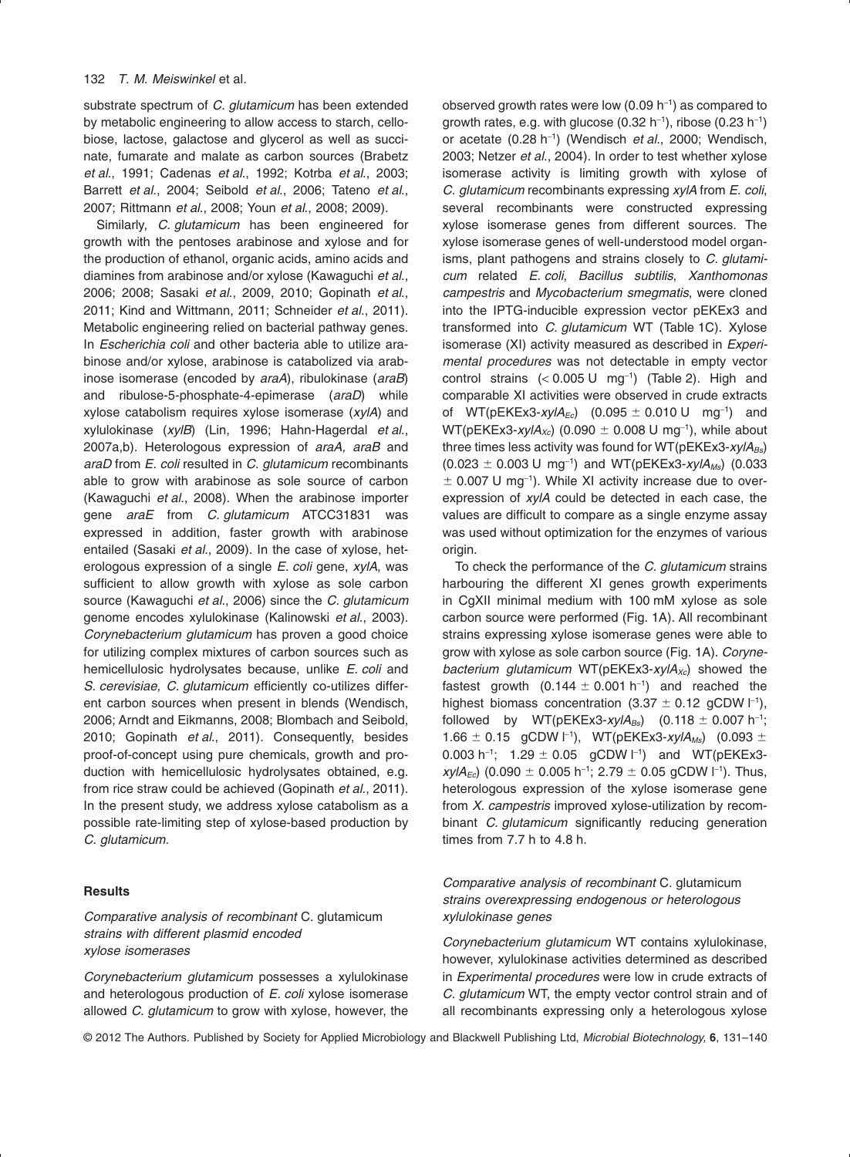substrate spectrum of *C. glutamicum* has been extended by metabolic engineering to allow access to starch, cellobiose, lactose, galactose and glycerol as well as succinate, fumarate and malate as carbon sources (Brabetz *et al*., 1991; Cadenas *et al*., 1992; Kotrba *et al*., 2003; Barrett *et al*., 2004; Seibold *et al*., 2006; Tateno *et al*., 2007; Rittmann *et al*., 2008; Youn *et al*., 2008; 2009).

Similarly, *C. glutamicum* has been engineered for growth with the pentoses arabinose and xylose and for the production of ethanol, organic acids, amino acids and diamines from arabinose and/or xylose (Kawaguchi *et al*., 2006; 2008; Sasaki *et al*., 2009, 2010; Gopinath *et al*., 2011; Kind and Wittmann, 2011; Schneider *et al*., 2011). Metabolic engineering relied on bacterial pathway genes. In *Escherichia coli* and other bacteria able to utilize arabinose and/or xylose, arabinose is catabolized via arabinose isomerase (encoded by *araA*), ribulokinase (*araB*) and ribulose-5-phosphate-4-epimerase (*araD*) while xylose catabolism requires xylose isomerase (*xylA*) and xylulokinase (*xylB*) (Lin, 1996; Hahn-Hagerdal *et al*., 2007a,b). Heterologous expression of *araA, araB* and *araD* from *E. coli* resulted in *C. glutamicum* recombinants able to grow with arabinose as sole source of carbon (Kawaguchi *et al*., 2008). When the arabinose importer gene *araE* from *C. glutamicum* ATCC31831 was expressed in addition, faster growth with arabinose entailed (Sasaki *et al*., 2009). In the case of xylose, heterologous expression of a single *E. coli* gene, *xylA*, was sufficient to allow growth with xylose as sole carbon source (Kawaguchi *et al*., 2006) since the *C. glutamicum* genome encodes xylulokinase (Kalinowski *et al*., 2003). *Corynebacterium glutamicum* has proven a good choice for utilizing complex mixtures of carbon sources such as hemicellulosic hydrolysates because, unlike *E. coli* and *S. cerevisiae, C. glutamicum* efficiently co-utilizes different carbon sources when present in blends (Wendisch, 2006; Arndt and Eikmanns, 2008; Blombach and Seibold, 2010; Gopinath *et al*., 2011). Consequently, besides proof-of-concept using pure chemicals, growth and production with hemicellulosic hydrolysates obtained, e.g. from rice straw could be achieved (Gopinath *et al*., 2011). In the present study, we address xylose catabolism as a possible rate-limiting step of xylose-based production by *C. glutamicum*.

#### **Results**

*Comparative analysis of recombinant* C. glutamicum *strains with different plasmid encoded xylose isomerases*

*Corynebacterium glutamicum* possesses a xylulokinase and heterologous production of *E. coli* xylose isomerase allowed *C. glutamicum* to grow with xylose, however, the

observed growth rates were low  $(0.09 h<sup>-1</sup>)$  as compared to growth rates, e.g. with glucose (0.32 h<sup>-1</sup>), ribose (0.23 h<sup>-1</sup>) or acetate (0.28 h-<sup>1</sup> ) (Wendisch *et al*., 2000; Wendisch, 2003; Netzer *et al*., 2004). In order to test whether xylose isomerase activity is limiting growth with xylose of *C. glutamicum* recombinants expressing *xylA* from *E. coli*, several recombinants were constructed expressing xylose isomerase genes from different sources. The xylose isomerase genes of well-understood model organisms, plant pathogens and strains closely to *C. glutamicum* related *E. coli*, *Bacillus subtilis*, *Xanthomonas campestris* and *Mycobacterium smegmatis*, were cloned into the IPTG-inducible expression vector pEKEx3 and transformed into *C. glutamicum* WT (Table 1C). Xylose isomerase (XI) activity measured as described in *Experimental procedures* was not detectable in empty vector control strains  $(< 0.005 U$  mg<sup>-1</sup>) (Table 2). High and comparable XI activities were observed in crude extracts of WT(pEKEx3-xylA<sub>Ec</sub>) (0.095  $\pm$  0.010 U mg<sup>-1</sup>) and  $WT(pEKEx3\text{-}xylA_{Xc})$  (0.090  $\pm$  0.008 U mg<sup>-1</sup>), while about three times less activity was found for WT(pEKEx3-xylA<sub>Bs</sub>)  $(0.023 \pm 0.003 \text{ U} \text{ mg}^{-1})$  and WT(pEKEx3-xylA<sub>Ms</sub>) (0.033  $\pm$  0.007 U mg<sup>-1</sup>). While XI activity increase due to overexpression of *xylA* could be detected in each case, the values are difficult to compare as a single enzyme assay was used without optimization for the enzymes of various origin.

To check the performance of the *C. glutamicum* strains harbouring the different XI genes growth experiments in CgXII minimal medium with 100 mM xylose as sole carbon source were performed (Fig. 1A). All recombinant strains expressing xylose isomerase genes were able to grow with xylose as sole carbon source (Fig. 1A). *Corynebacterium glutamicum* WT(pEKEx3-*xylA<sub>xc</sub>*) showed the fastest growth  $(0.144 \pm 0.001 \text{ h}^{-1})$  and reached the highest biomass concentration (3.37  $\pm$  0.12 gCDW  $\vert^{-1}$ ), followed by  $WT(pEKEx3-xy/A_{Bs})$   $(0.118 \pm 0.007 h^{-1})$ 1.66 ± 0.15 gCDW l<sup>-1</sup>), WT(pEKEx3-*xylA<sub>Ms</sub>*) (0.093 ± 0.003 h<sup>-1</sup>; 1.29  $\pm$  0.05 gCDW  $|$ <sup>-1</sup>) and WT(pEKEx3*xylA<sub>Ec</sub>*) (0.090  $\pm$  0.005 h<sup>-1</sup>; 2.79  $\pm$  0.05 gCDW l<sup>-1</sup>). Thus, heterologous expression of the xylose isomerase gene from *X. campestris* improved xylose-utilization by recombinant *C. glutamicum* significantly reducing generation times from 7.7 h to 4.8 h.

# *Comparative analysis of recombinant* C. glutamicum *strains overexpressing endogenous or heterologous xylulokinase genes*

*Corynebacterium glutamicum* WT contains xylulokinase, however, xylulokinase activities determined as described in *Experimental procedures* were low in crude extracts of *C. glutamicum* WT, the empty vector control strain and of all recombinants expressing only a heterologous xylose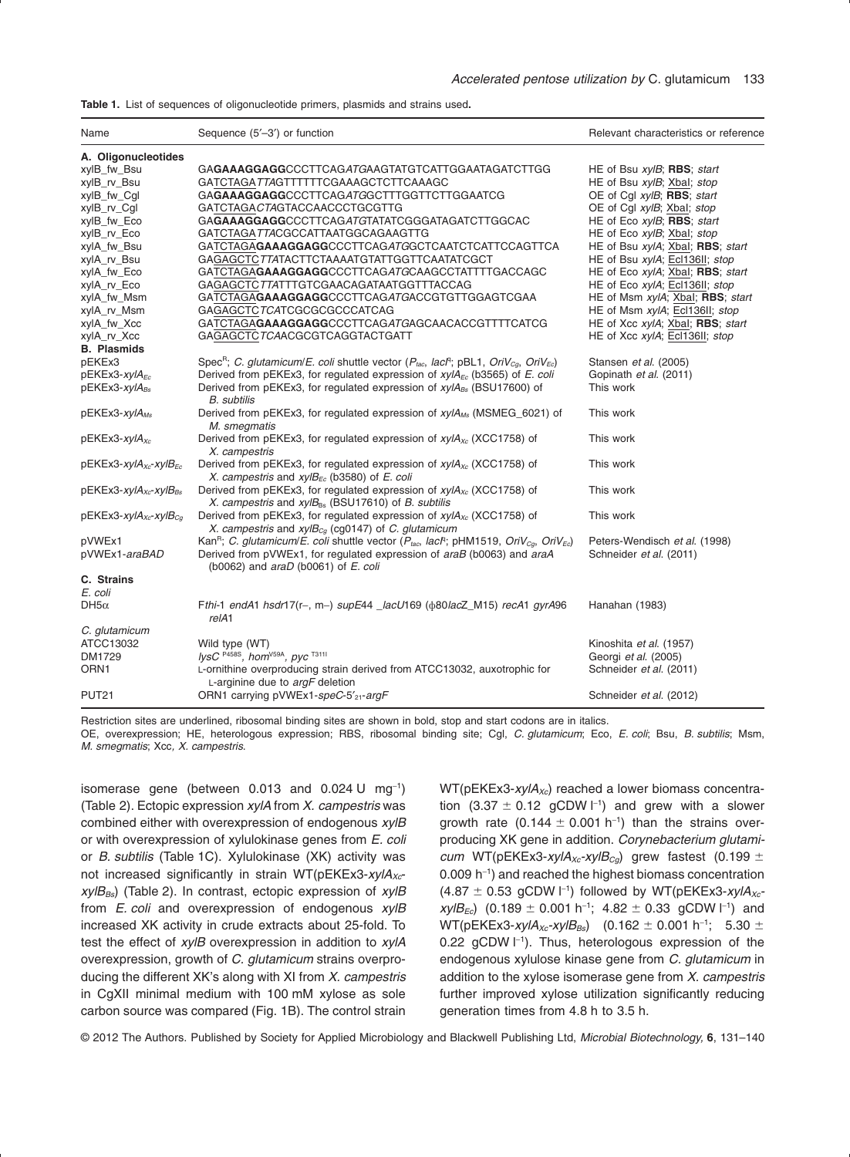**Table 1.** List of sequences of oligonucleotide primers, plasmids and strains used**.**

| Name                               | Sequence (5'-3') or function                                                                                                               | Relevant characteristics or reference                    |
|------------------------------------|--------------------------------------------------------------------------------------------------------------------------------------------|----------------------------------------------------------|
| A. Oligonucleotides<br>xylB_fw_Bsu | GA <b>GAAAGGAGG</b> CCCTTCAG <i>ATG</i> AAGTATGTCATTGGAATAGATCTTGG                                                                         | HE of Bsu xylB; RBS; start                               |
| xylB rv Bsu                        | GATCTAGATTAGTTTTTTCGAAAGCTCTTCAAAGC                                                                                                        | HE of Bsu xylB; Xbal; stop                               |
| xylB_fw_Cgl                        | GAGAAAGGAGGCCCTTCAGATGGCTTTGGTTCTTGGAATCG                                                                                                  | OE of Cql xylB; RBS; start                               |
| xylB_rv_Cgl                        | GATCTAGACTAGTACCAACCCTGCGTTG                                                                                                               | OE of Cgl xylB; Xbal; stop                               |
| xylB_fw_Eco                        | GA <b>GAAAGGAGG</b> CCCTTCAGATGTATATCGGGATAGATCTTGGCAC<br>GATCTAGATTACGCCATTAATGGCAGAAGTTG                                                 | HE of Eco xylB; RBS; start<br>HE of Eco xylB; Xbal; stop |
| xylB_rv_Eco                        | GATCTAGAGAAAGGAGGCCCTTCAGATGGCTCAATCTCATTCCAGTTCA                                                                                          | HE of Bsu xylA; Xbal; RBS; start                         |
| xylA_fw_Bsu                        | GAGAGCTC7TATACTTCTAAAATGTATTGGTTCAATATCGCT                                                                                                 |                                                          |
| xylA_rv_Bsu                        |                                                                                                                                            | HE of Bsu xylA; Ecl136II; stop                           |
| xylA_fw_Eco                        | GATCTAGAGAAAGGAGGCCCTTCAGATGCAAGCCTATTTTGACCAGC                                                                                            | HE of Eco xylA; Xbal; RBS; start                         |
| xylA_rv_Eco                        | GAGAGCTCTTATTTGTCGAACAGATAATGGTTTACCAG                                                                                                     | HE of Eco xylA; Ecl136II; stop                           |
| xylA_fw_Msm                        | GATCTAGAGAAAGGAGGCCCTTCAGATGACCGTGTTGGAGTCGAA                                                                                              | HE of Msm xylA; Xbal; RBS; start                         |
| xylA_rv_Msm                        | GAGAGCTCTCATCGCGCGCCCATCAG                                                                                                                 | HE of Msm xylA; Ecl136II; stop                           |
| xylA_fw_Xcc                        | GATCTAGAGAAAGGAGGCCCTTCAGATGAGCAACACCGTTTTCATCG                                                                                            | HE of Xcc xylA; Xbal; RBS; start                         |
| xylA_rv_Xcc                        | GAGAGCTCTCAACGCGTCAGGTACTGATT                                                                                                              | HE of Xcc xylA; Ecl136II; stop                           |
| <b>B.</b> Plasmids<br>pEKEx3       |                                                                                                                                            | Stansen et al. (2005)                                    |
|                                    | Spec <sup>R</sup> ; C. glutamicum/E. coli shuttle vector ( $P_{tac}$ , lacl <sup>q</sup> ; pBL1, OriV <sub>Ca</sub> , OriV <sub>Ec</sub> ) |                                                          |
| pEKEx3-xylA <sub>Ec</sub>          | Derived from pEKEx3, for regulated expression of $xy/ A_{\text{E}c}$ (b3565) of E. coli                                                    | Gopinath et al. (2011)<br>This work                      |
| $pEKEx3-xyIA_{Bs}$                 | Derived from pEKEx3, for regulated expression of $xy/Ag_s$ (BSU17600) of<br><b>B.</b> subtilis                                             |                                                          |
|                                    |                                                                                                                                            | This work                                                |
| pEKEx3-xylA <sub>Ms</sub>          | Derived from pEKEx3, for regulated expression of $xy/4_{Ms}$ (MSMEG_6021) of                                                               |                                                          |
|                                    | M. smegmatis<br>Derived from pEKEx3, for regulated expression of $xy/A_{Xc}$ (XCC1758) of                                                  | This work                                                |
| pEKEx3-xylA <sub>xc</sub>          | X. campestris                                                                                                                              |                                                          |
| $pEKEx3-xy/Axc-xy/BEc$             | Derived from pEKEx3, for regulated expression of $xy/ A_{Xc}$ (XCC1758) of                                                                 | This work                                                |
|                                    | X. campestris and $xylBFe$ (b3580) of E. coli                                                                                              |                                                          |
| $pEKEx3-xyIAxc-xyIBBs$             | Derived from pEKEx3, for regulated expression of $xy/ A_{Xc}$ (XCC1758) of                                                                 | This work                                                |
|                                    | X. campestris and $xylB_{Bs}$ (BSU17610) of B. subtilis                                                                                    |                                                          |
|                                    | Derived from pEKEx3, for regulated expression of $xy/A_{Xc}$ (XCC1758) of                                                                  | This work                                                |
| $pEKEx3-xy/Axc-xy/BCq$             | X. campestris and $xyIB_{Cq}$ (cg0147) of C. glutamicum                                                                                    |                                                          |
| pVWEx1                             | Kan <sup>R</sup> ; C. glutamicum/E. coli shuttle vector ( $P_{tac}$ , lacR, pHM1519, OriV <sub>ca</sub> , OriV <sub>Ec</sub> )             | Peters-Wendisch et al. (1998)                            |
| pVWEx1-araBAD                      | Derived from pVWEx1, for regulated expression of araB (b0063) and araA                                                                     | Schneider et al. (2011)                                  |
|                                    | (b0062) and $arab$ (b0061) of $E.$ coli                                                                                                    |                                                          |
| C. Strains                         |                                                                                                                                            |                                                          |
| E. coli                            |                                                                                                                                            |                                                          |
| DH5 $\alpha$                       | Fthi-1 endA1 hsdr17(r-, m-) supE44 $\text{Jac}U$ 169 ( $\phi$ 80lacZ M15) recA1 gyrA96                                                     | Hanahan (1983)                                           |
|                                    | relA1                                                                                                                                      |                                                          |
| C. glutamicum                      |                                                                                                                                            |                                                          |
| ATCC13032                          | Wild type (WT)                                                                                                                             | Kinoshita et al. (1957)                                  |
| DM1729                             | lysC P458S, hom <sup>V59A</sup> , pyc <sup>T3111</sup>                                                                                     | Georgi et al. (2005)                                     |
| ORN1                               | L-ornithine overproducing strain derived from ATCC13032, auxotrophic for                                                                   | Schneider et al. (2011)                                  |
|                                    | L-arginine due to argF deletion                                                                                                            |                                                          |
| <b>PUT21</b>                       | ORN1 carrying pVWEx1-speC-5' <sub>21</sub> -argF                                                                                           | Schneider et al. (2012)                                  |

Restriction sites are underlined, ribosomal binding sites are shown in bold, stop and start codons are in italics.

OE, overexpression; HE, heterologous expression; RBS, ribosomal binding site; Cgl, *C. glutamicum*; Eco, *E. coli*; Bsu, *B. subtilis*; Msm, *M. smegmatis*; Xcc*, X. campestris*.

isomerase gene (between 0.013 and 0.024 U mg-<sup>1</sup> ) (Table 2). Ectopic expression *xylA* from *X. campestris* was combined either with overexpression of endogenous *xylB* or with overexpression of xylulokinase genes from *E. coli* or *B. subtilis* (Table 1C). Xylulokinase (XK) activity was not increased significantly in strain WT(pEKEx3-xylA<sub>xc</sub>*xylBBs*) (Table 2). In contrast, ectopic expression of *xylB* from *E. coli* and overexpression of endogenous *xylB* increased XK activity in crude extracts about 25-fold. To test the effect of *xylB* overexpression in addition to *xylA* overexpression, growth of *C. glutamicum* strains overproducing the different XK's along with XI from *X. campestris* in CgXII minimal medium with 100 mM xylose as sole carbon source was compared (Fig. 1B). The control strain

WT(pEKEx3-xylA<sub>xc</sub>) reached a lower biomass concentration  $(3.37 \pm 0.12 \text{ gCDW } l^{-1})$  and grew with a slower growth rate  $(0.144 \pm 0.001 \text{ h}^{-1})$  than the strains overproducing XK gene in addition. *Corynebacterium glutamicum* WT(pEKEx3-xylA<sub>xc</sub>-xylB<sub>Cg</sub>) grew fastest (0.199  $\pm$ 0.009 h-<sup>1</sup> ) and reached the highest biomass concentration  $(4.87 \pm 0.53$  gCDW  $\vert^{-1}$ ) followed by WT(pEKEx3-xylA<sub>xc</sub> $xylB_{Ec}$  (0.189  $\pm$  0.001 h<sup>-1</sup>; 4.82  $\pm$  0.33 gCDW l<sup>-1</sup>) and  $WT(pEKEx3-xy/ A_{Xc}-xy/B_{Bs})$  (0.162  $\pm$  0.001 h<sup>-1</sup>; 5.30  $\pm$ 0.22 gCDW  $\vert$ <sup>-1</sup>). Thus, heterologous expression of the endogenous xylulose kinase gene from *C. glutamicum* in addition to the xylose isomerase gene from *X. campestris* further improved xylose utilization significantly reducing generation times from 4.8 h to 3.5 h.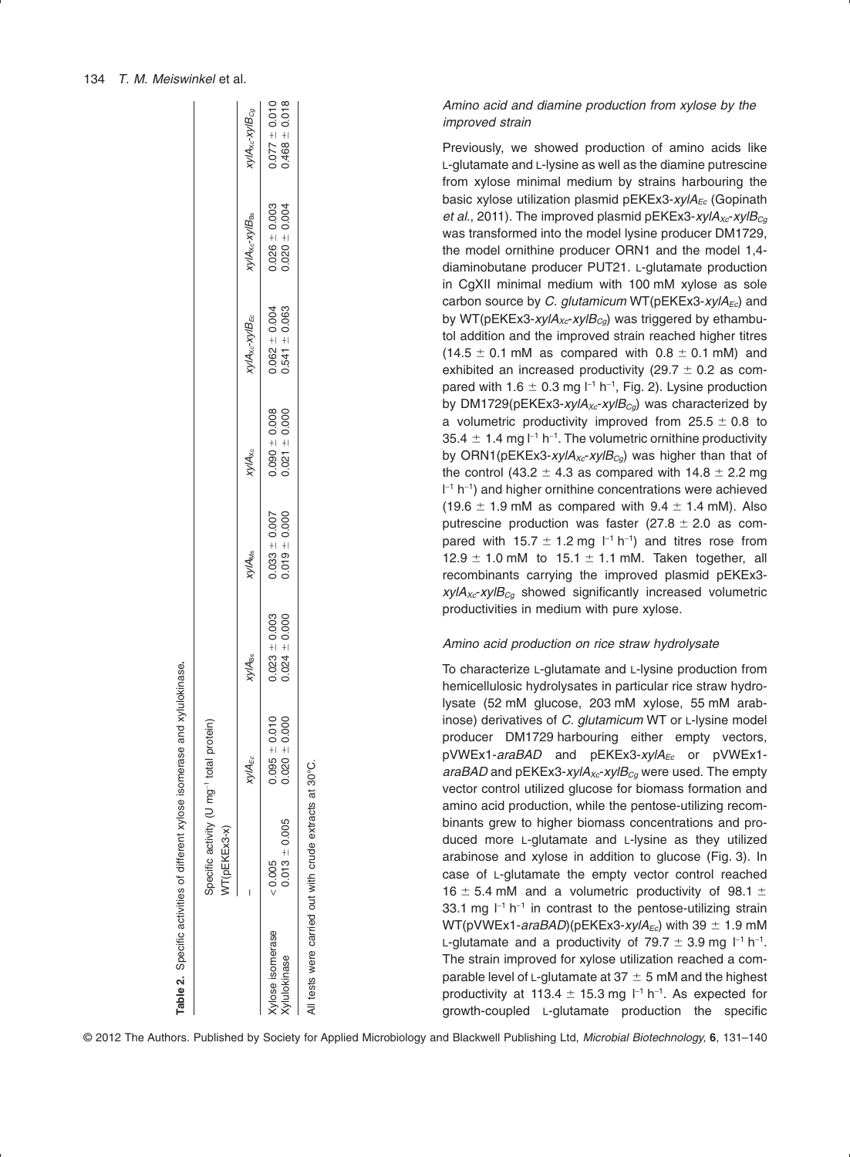|                                | Specific activity (U mg <sup>-1</sup> total protein)<br>WT(pEKEx3-x) |                                      |                                        |                                      |                                      |                                      |                                      |                                          |
|--------------------------------|----------------------------------------------------------------------|--------------------------------------|----------------------------------------|--------------------------------------|--------------------------------------|--------------------------------------|--------------------------------------|------------------------------------------|
|                                |                                                                      | <b>xylA<sub>Ec</sub></b>             | <b>Xy/A<sub>Bs</sub></b>               | <b>xylA<sub>Ms</sub></b>             | <b>xylAxc</b>                        | <b>xylAxc-xylB<sub>EC</sub></b>      | <b>xylAxc-xylB<sub>es</sub></b>      | $xy$ l $A_{\lambda c}$ - $xy$ l $B_{Cg}$ |
| ylose isomerase<br>vlulokinase | $0.013 \pm 0.005$<br>< 0.005                                         | $0.095 \pm 0.010$<br>$0.020 + 0.000$ | $0.023 \pm 0.003$<br>$0.024 \pm 0.000$ | $0.019 + 0.000$<br>$0.033 \pm 0.007$ | $0.021 \pm 0.000$<br>$0.090 + 0.008$ | $0.062 = 0.004$<br>$0.541 \pm 0.063$ | $0.020 + 0.004$<br>$0.026 \pm 0.003$ | $0.077 \pm 0.010$<br>0.468 $\pm$ 0.018   |
|                                | All tests were carried out with crude extracts at 30°C.              |                                      |                                        |                                      |                                      |                                      |                                      |                                          |

Table 2. Specific activities of different xylose isomerase and xylulokinase.

Specific activities of different xylose isomerase and xylulokinase**.**

*Amino acid and diamine production from xylose by the improved strain*

Previously, we showed production of amino acids like L-glutamate and L-lysine as well as the diamine putrescine from xylose minimal medium by strains harbouring the basic xylose utilization plasmid pEKEx3-xylA<sub>Ec</sub> (Gopinath *et al.*, 2011). The improved plasmid pEKEx3-*xylA<sub>Xc</sub>-xylB<sub>Cq</sub>* was transformed into the model lysine producer DM1729, the model ornithine producer ORN1 and the model 1,4 diaminobutane producer PUT21. L-glutamate production in CgXII minimal medium with 100 mM xylose as sole carbon source by *C. glutamicum* WT(pEKEx3-*xylA<sub>Ec</sub>*) and by WT(pEKEx3-*xylA<sub>xc</sub>-xylB<sub>Ca</sub>)* was triggered by ethambutol addition and the improved strain reached higher titres  $(14.5 \pm 0.1 \text{ mM}$  as compared with  $0.8 \pm 0.1 \text{ mM}$ ) and exhibited an increased productivity (29.7  $\pm$  0.2 as compared with 1.6  $\pm$  0.3 mg  $I^{-1}$  h<sup>-1</sup>, Fig. 2). Lysine production by DM1729(pEKEx3-*xylA<sub>xc</sub>-xylB<sub>Ca</sub>*) was characterized by a volumetric productivity improved from  $25.5 \pm 0.8$  to 35.4  $\pm$  1.4 mg l<sup>-1</sup> h<sup>-1</sup>. The volumetric ornithine productivity by ORN1(pEKEx3-xylA<sub>xc</sub>-xylB<sub>cg</sub>) was higher than that of the control (43.2  $\pm$  4.3 as compared with 14.8  $\pm$  2.2 mg l -<sup>1</sup> h-<sup>1</sup> ) and higher ornithine concentrations were achieved  $(19.6 \pm 1.9 \, \text{mM}$  as compared with  $9.4 \pm 1.4 \, \text{mM}$ ). Also putrescine production was faster (27.8  $\pm$  2.0 as compared with 15.7  $\pm$  1.2 mg  $\vert$ <sup>-1</sup> h<sup>-1</sup>) and titres rose from  $12.9 \pm 1.0$  mM to  $15.1 \pm 1.1$  mM. Taken together, all recombinants carrying the improved plasmid pEKEx3  $xy/A_{Xc}$ - $xy/B_{Cq}$  showed significantly increased volumetric productivities in medium with pure xylose.

#### *Amino acid production on rice straw hydrolysate*

To characterize L-glutamate and L-lysine production from hemicellulosic hydrolysates in particular rice straw hydrolysate (52 mM glucose, 203 mM xylose, 55 mM arabinose) derivatives of *C. glutamicum* WT or L-lysine model producer DM1729 harbouring either empty vectors, pVWEx1-*araBAD* and pEKEx3-xylA<sub>Ec</sub> or pVWEx1*araBAD* and pEKEx3-*xylA<sub>xc</sub>-xylB<sub>Cq</sub>* were used. The empty vector control utilized glucose for biomass formation and amino acid production, while the pentose-utilizing recombinants grew to higher biomass concentrations and produced more L-glutamate and L-lysine as they utilized arabinose and xylose in addition to glucose (Fig. 3). In case of L-glutamate the empty vector control reached 16  $\pm$  5.4 mM and a volumetric productivity of 98.1  $\pm$ 33.1 mg  $I^{-1}$  h<sup>-1</sup> in contrast to the pentose-utilizing strain WT(pVWEx1-*araBAD*)(pEKEx3-*xylA<sub>Ec</sub>*) with 39  $\pm$  1.9 mM L-glutamate and a productivity of  $79.7 \pm 3.9$  mg  $l^{-1}$  h<sup>-1</sup>. The strain improved for xylose utilization reached a comparable level of L-glutamate at 37  $\pm$  5 mM and the highest productivity at 113.4  $\pm$  15.3 mg  $l^{-1}$  h<sup>-1</sup>. As expected for growth-coupled L-glutamate production the specific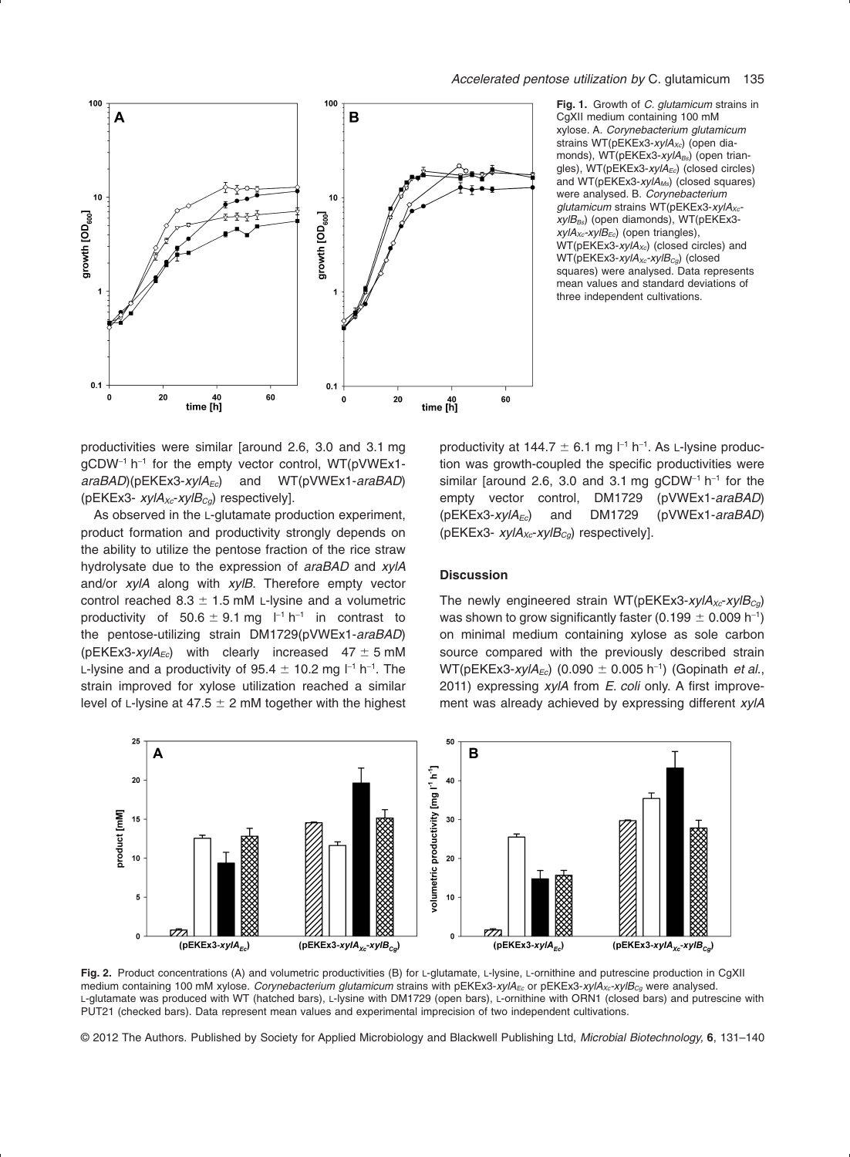

**Fig. 1.** Growth of *C. glutamicum* strains in CgXII medium containing 100 mM xylose. A. *Corynebacterium glutamicum* strains WT(pEKEx3-xylA<sub>xc</sub>) (open diamonds), WT(pEKEx3-xylA<sub>Bs</sub>) (open triangles), WT(pEKEx3-xylA<sub>Ec</sub>) (closed circles) and WT(pEKEx3-*xylAMs*) (closed squares) were analysed. B. *Corynebacterium* glutamicum strains WT(pEKEx3-xylA<sub>xc</sub>*xylB<sub>Bs</sub>*) (open diamonds), WT(pEKEx3*xylAXc-xylBEc*) (open triangles), WT(pEKEx3-xylA<sub>xc</sub>) (closed circles) and WT(pEKEx3-*xylA<sub>xc</sub>-xylB<sub>Ca</sub>*) (closed squares) were analysed. Data represents mean values and standard deviations of three independent cultivations.

productivities were similar [around 2.6, 3.0 and 3.1 mg  $gCDW^{-1}$  h<sup>-1</sup> for the empty vector control, WT(pVWEx1*araBAD*)(pEKEx3-*xylA<sub>Ec</sub>*) and WT(pVWEx1-*araBAD*) (pEKEx3- *xylA<sub>xc</sub>-xylB<sub>Cg</sub>)* respectively].

As observed in the L-glutamate production experiment, product formation and productivity strongly depends on the ability to utilize the pentose fraction of the rice straw hydrolysate due to the expression of *araBAD* and *xylA* and/or *xylA* along with *xylB*. Therefore empty vector control reached 8.3  $\pm$  1.5 mM L-lysine and a volumetric productivity of 50.6  $\pm$  9.1 mg l<sup>-1</sup> h<sup>-1</sup> in contrast to the pentose-utilizing strain DM1729(pVWEx1-*araBAD*)  $(pEKEx3\text{-}xyIA_{Ec})$  with clearly increased  $47 \pm 5 \text{ }\mathrm{mM}$ L-lysine and a productivity of 95.4  $\pm$  10.2 mg l $^{-1}$  h $^{-1}$ . The strain improved for xylose utilization reached a similar level of L-lysine at 47.5  $\pm$  2 mM together with the highest

productivity at 144.7  $\pm$  6.1 mg  $I^{-1}$  h<sup>-1</sup>. As L-lysine production was growth-coupled the specific productivities were similar [around 2.6, 3.0 and 3.1 mg  $qCDW^{-1}$  h<sup>-1</sup> for the empty vector control, DM1729 (pVWEx1-*araBAD*) (pEKEx3-*xylA<sub>Ec</sub>*) and DM1729 (pVWEx1-araBAD) (pEKEx3- *xylA<sub>xc</sub>-xylB<sub>Cq</sub>)* respectively].

#### **Discussion**

The newly engineered strain WT(pEKEx3-*xylA<sub>Xc</sub>-xylB<sub>Ca</sub>*) was shown to grow significantly faster (0.199  $\pm$  0.009 h $^{-1})$ on minimal medium containing xylose as sole carbon source compared with the previously described strain WT(pEKEx3-xylA<sub>Ec</sub>) (0.090 ± 0.005 h<sup>-1</sup>) (Gopinath *et al.*, 2011) expressing *xylA* from *E. coli* only. A first improvement was already achieved by expressing different *xylA*



Fig. 2. Product concentrations (A) and volumetric productivities (B) for L-glutamate, L-Iysine, L-ornithine and putrescine production in CgXII medium containing 100 mM xylose. *Corynebacterium glutamicum* strains with pEKEx3-xylA<sub>Ec</sub> or pEKEx3-xylA<sub>xc</sub>-xylB<sub>Cg</sub> were analysed. L-glutamate was produced with WT (hatched bars), L-lysine with DM1729 (open bars), L-ornithine with ORN1 (closed bars) and putrescine with PUT21 (checked bars). Data represent mean values and experimental imprecision of two independent cultivations.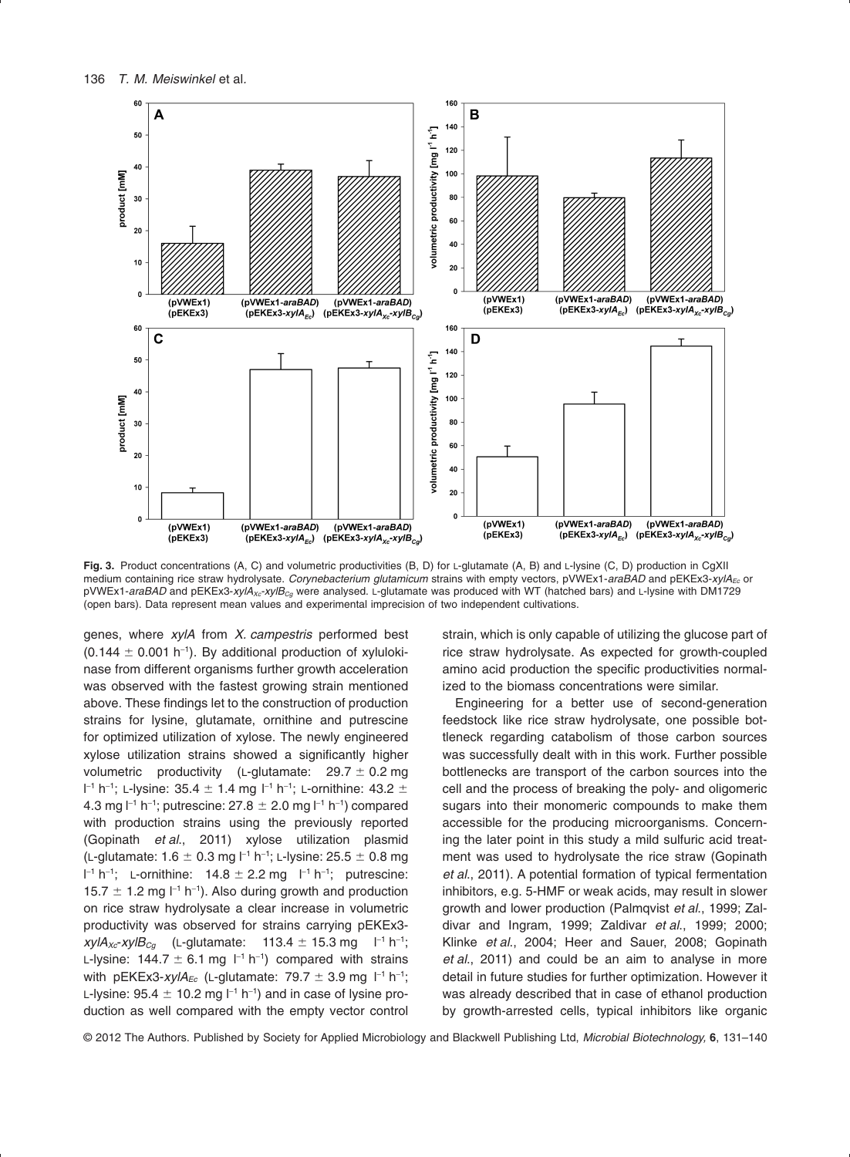

**Fig. 3.** Product concentrations (A, C) and volumetric productivities (B, D) for L-glutamate (A, B) and L-lysine (C, D) production in CgXII medium containing rice straw hydrolysate. *Corynebacterium glutamicum* strains with empty vectors, pVWEx1-araBAD and pEKEx3-xylA<sub>Fc</sub> or pVWEx1-araBAD and pEKEx3-xylA<sub>xc</sub>-xylB<sub>Cq</sub> were analysed. L-glutamate was produced with WT (hatched bars) and L-lysine with DM1729 (open bars). Data represent mean values and experimental imprecision of two independent cultivations.

genes, where *xylA* from *X. campestris* performed best  $(0.144 \pm 0.001 \text{ h}^{-1})$ . By additional production of xylulokinase from different organisms further growth acceleration was observed with the fastest growing strain mentioned above. These findings let to the construction of production strains for lysine, glutamate, ornithine and putrescine for optimized utilization of xylose. The newly engineered xylose utilization strains showed a significantly higher volumetric productivity (L-glutamate: 29.7  $\pm$  0.2 mg  $l$ <sup>-1</sup> h<sup>-1</sup>; L-lysine: 35.4  $\pm$  1.4 mg  $l$ <sup>-1</sup> h<sup>-1</sup>; L-ornithine: 43.2  $\pm$ 4.3 mg l $^{-1}$  h $^{-1}$ ; putrescine: 27.8  $\pm$  2.0 mg l $^{-1}$  h $^{-1}$ ) compared with production strains using the previously reported (Gopinath *et al*., 2011) xylose utilization plasmid (L-glutamate: 1.6  $\pm$  0.3 mg l<sup>-1</sup> h<sup>-1</sup>; L-lysine: 25.5  $\pm$  0.8 mg  $I^{-1}$  h<sup>-1</sup>; L-ornithine: 14.8  $\pm$  2.2 mg  $I^{-1}$  h<sup>-1</sup>; putrescine: 15.7  $\pm$  1.2 mg  $I^{-1}$  h<sup>-1</sup>). Also during growth and production on rice straw hydrolysate a clear increase in volumetric productivity was observed for strains carrying pEKEx3  $xy$ / $A_{Xc}$ -*xyl* $B_{Cg}$  (L-glutamate: 113.4  $\pm$  15.3 mg l<sup>-1</sup> h<sup>-1</sup>; L-lysine:  $144.7 \pm 6.1$  mg  $\vert$ <sup>-1</sup> h<sup>-1</sup>) compared with strains with pEKEx3-*xylA<sub>Ec</sub>* (L-glutamate: 79.7  $\pm$  3.9 mg l<sup>-1</sup> h<sup>-1</sup>; L-lysine: 95.4  $\pm$  10.2 mg l $^{-1}$  h $^{-1}$ ) and in case of lysine production as well compared with the empty vector control

strain, which is only capable of utilizing the glucose part of rice straw hydrolysate. As expected for growth-coupled amino acid production the specific productivities normalized to the biomass concentrations were similar.

Engineering for a better use of second-generation feedstock like rice straw hydrolysate, one possible bottleneck regarding catabolism of those carbon sources was successfully dealt with in this work. Further possible bottlenecks are transport of the carbon sources into the cell and the process of breaking the poly- and oligomeric sugars into their monomeric compounds to make them accessible for the producing microorganisms. Concerning the later point in this study a mild sulfuric acid treatment was used to hydrolysate the rice straw (Gopinath *et al*., 2011). A potential formation of typical fermentation inhibitors, e.g. 5-HMF or weak acids, may result in slower growth and lower production (Palmqvist *et al*., 1999; Zaldivar and Ingram, 1999; Zaldivar *et al*., 1999; 2000; Klinke *et al*., 2004; Heer and Sauer, 2008; Gopinath *et al*., 2011) and could be an aim to analyse in more detail in future studies for further optimization. However it was already described that in case of ethanol production by growth-arrested cells, typical inhibitors like organic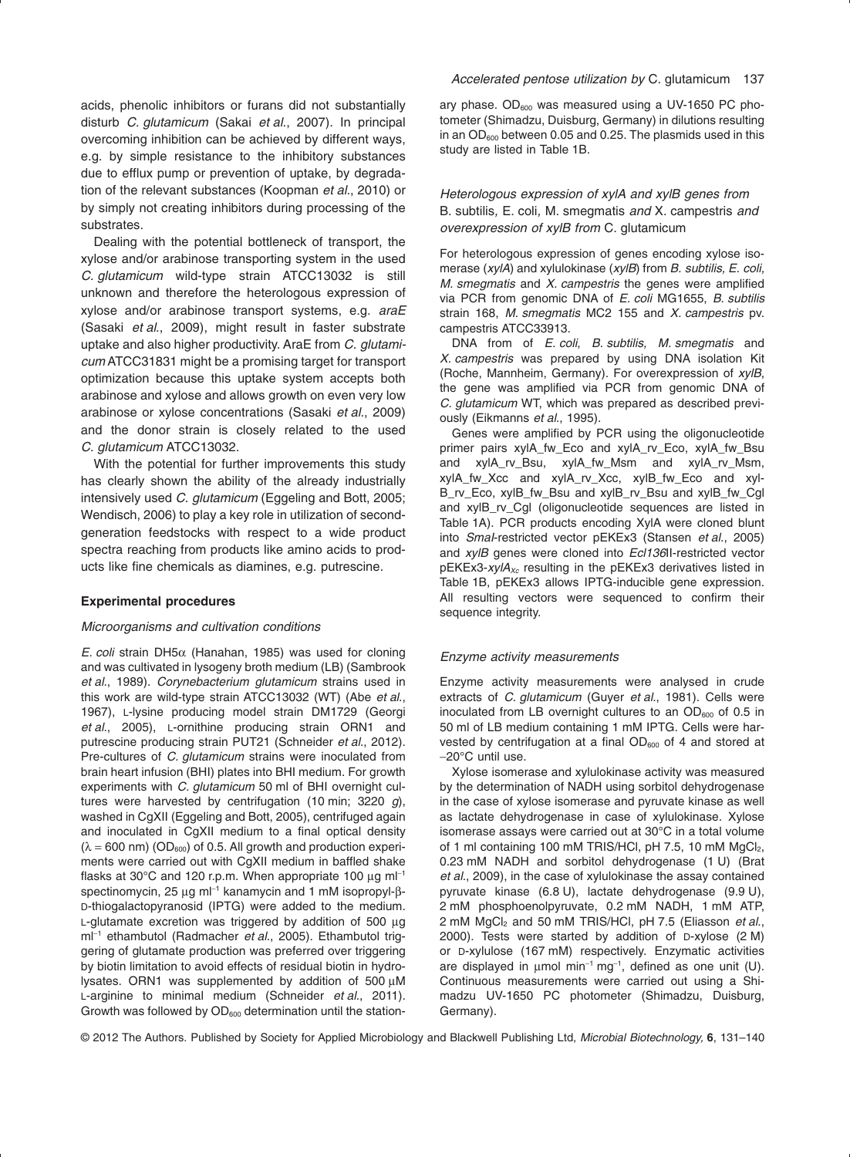acids, phenolic inhibitors or furans did not substantially disturb *C. glutamicum* (Sakai *et al*., 2007). In principal overcoming inhibition can be achieved by different ways, e.g. by simple resistance to the inhibitory substances due to efflux pump or prevention of uptake, by degradation of the relevant substances (Koopman *et al*., 2010) or by simply not creating inhibitors during processing of the substrates.

Dealing with the potential bottleneck of transport, the xylose and/or arabinose transporting system in the used *C. glutamicum* wild-type strain ATCC13032 is still unknown and therefore the heterologous expression of xylose and/or arabinose transport systems, e.g. *araE* (Sasaki *et al*., 2009), might result in faster substrate uptake and also higher productivity. AraE from *C. glutamicum* ATCC31831 might be a promising target for transport optimization because this uptake system accepts both arabinose and xylose and allows growth on even very low arabinose or xylose concentrations (Sasaki *et al*., 2009) and the donor strain is closely related to the used *C. glutamicum* ATCC13032.

With the potential for further improvements this study has clearly shown the ability of the already industrially intensively used *C. glutamicum* (Eggeling and Bott, 2005; Wendisch, 2006) to play a key role in utilization of secondgeneration feedstocks with respect to a wide product spectra reaching from products like amino acids to products like fine chemicals as diamines, e.g. putrescine.

#### **Experimental procedures**

#### *Microorganisms and cultivation conditions*

*E. coli* strain DH5 $\alpha$  (Hanahan, 1985) was used for cloning and was cultivated in lysogeny broth medium (LB) (Sambrook *et al*., 1989). *Corynebacterium glutamicum* strains used in this work are wild-type strain ATCC13032 (WT) (Abe *et al*., 1967), L-lysine producing model strain DM1729 (Georgi *et al*., 2005), L-ornithine producing strain ORN1 and putrescine producing strain PUT21 (Schneider *et al*., 2012). Pre-cultures of *C. glutamicum* strains were inoculated from brain heart infusion (BHI) plates into BHI medium. For growth experiments with *C. glutamicum* 50 ml of BHI overnight cultures were harvested by centrifugation (10 min; 3220 *g*), washed in CgXII (Eggeling and Bott, 2005), centrifuged again and inoculated in CgXII medium to a final optical density  $(\lambda = 600 \text{ nm})$  (OD<sub>600</sub>) of 0.5. All growth and production experiments were carried out with CgXII medium in baffled shake flasks at 30 $^{\circ}$ C and 120 r.p.m. When appropriate 100  $\mu$ g m $I^{-1}$ spectinomycin, 25  $\mu$ g m $l^{-1}$  kanamycin and 1 mM isopropyl- $\beta$ -D-thiogalactopyranosid (IPTG) were added to the medium. L-glutamate excretion was triggered by addition of 500  $\mu$ g ml-<sup>1</sup> ethambutol (Radmacher *et al*., 2005). Ethambutol triggering of glutamate production was preferred over triggering by biotin limitation to avoid effects of residual biotin in hydrolysates. ORN1 was supplemented by addition of  $500 \mu M$ L-arginine to minimal medium (Schneider *et al*., 2011). Growth was followed by  $OD_{600}$  determination until the stationary phase.  $OD_{600}$  was measured using a UV-1650 PC photometer (Shimadzu, Duisburg, Germany) in dilutions resulting in an  $OD_{600}$  between 0.05 and 0.25. The plasmids used in this study are listed in Table 1B.

# *Heterologous expression of xylA and xylB genes from* B. subtilis*,* E. coli*,* M. smegmatis *and* X. campestris *and overexpression of xylB from* C. glutamicum

For heterologous expression of genes encoding xylose isomerase (*xylA*) and xylulokinase (*xylB*) from *B. subtilis, E. coli, M. smegmatis* and *X. campestris* the genes were amplified via PCR from genomic DNA of *E. coli* MG1655, *B. subtilis* strain 168, *M. smegmatis* MC2 155 and *X. campestris* pv. campestris ATCC33913.

DNA from of *E. coli*, *B. subtilis, M. smegmatis* and *X. campestris* was prepared by using DNA isolation Kit (Roche, Mannheim, Germany). For overexpression of *xylB*, the gene was amplified via PCR from genomic DNA of *C. glutamicum* WT, which was prepared as described previously (Eikmanns *et al*., 1995).

Genes were amplified by PCR using the oligonucleotide primer pairs xylA\_fw\_Eco and xylA\_rv\_Eco, xylA\_fw\_Bsu and xylA\_rv\_Bsu, xylA\_fw\_Msm and xylA\_rv\_Msm, xylA\_fw\_Xcc and xylA\_rv\_Xcc, xylB\_fw\_Eco and xyl-B\_rv\_Eco, xylB\_fw\_Bsu and xylB\_rv\_Bsu and xylB\_fw\_Cgl and xylB\_rv\_Cgl (oligonucleotide sequences are listed in Table 1A). PCR products encoding XylA were cloned blunt into *SmaI*-restricted vector pEKEx3 (Stansen *et al*., 2005) and *xylB* genes were cloned into *Ecl136*II-restricted vector pEKEx3-*xylAXc* resulting in the pEKEx3 derivatives listed in Table 1B, pEKEx3 allows IPTG-inducible gene expression. All resulting vectors were sequenced to confirm their sequence integrity.

#### *Enzyme activity measurements*

Enzyme activity measurements were analysed in crude extracts of *C. glutamicum* (Guyer *et al*., 1981). Cells were inoculated from LB overnight cultures to an  $OD<sub>600</sub>$  of 0.5 in 50 ml of LB medium containing 1 mM IPTG. Cells were harvested by centrifugation at a final  $OD_{600}$  of 4 and stored at -20°C until use.

Xylose isomerase and xylulokinase activity was measured by the determination of NADH using sorbitol dehydrogenase in the case of xylose isomerase and pyruvate kinase as well as lactate dehydrogenase in case of xylulokinase. Xylose isomerase assays were carried out at 30°C in a total volume of 1 ml containing 100 mM TRIS/HCl, pH 7.5, 10 mM MgCl<sub>2</sub>, 0.23 mM NADH and sorbitol dehydrogenase (1 U) (Brat *et al*., 2009), in the case of xylulokinase the assay contained pyruvate kinase (6.8 U), lactate dehydrogenase (9.9 U), 2 mM phosphoenolpyruvate, 0.2 mM NADH, 1 mM ATP, 2 mM MgCl2 and 50 mM TRIS/HCl, pH 7.5 (Eliasson *et al*., 2000). Tests were started by addition of D-xylose (2 M) or D-xylulose (167 mM) respectively. Enzymatic activities are displayed in  $\mu$ mol min<sup>-1</sup> mg<sup>-1</sup>, defined as one unit (U). Continuous measurements were carried out using a Shimadzu UV-1650 PC photometer (Shimadzu, Duisburg, Germany).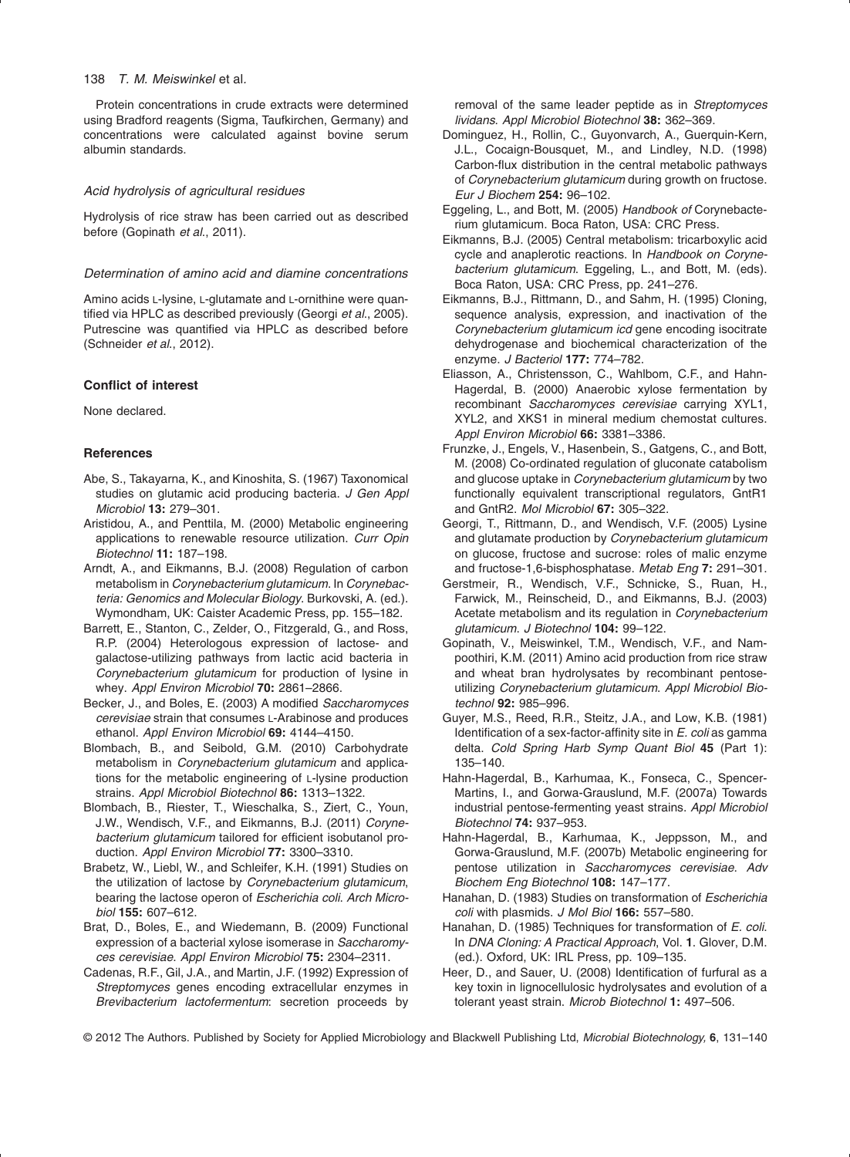#### 138 *T. M. Meiswinkel* et al*.*

Protein concentrations in crude extracts were determined using Bradford reagents (Sigma, Taufkirchen, Germany) and concentrations were calculated against bovine serum albumin standards.

# *Acid hydrolysis of agricultural residues*

Hydrolysis of rice straw has been carried out as described before (Gopinath *et al*., 2011).

#### *Determination of amino acid and diamine concentrations*

Amino acids L-lysine, L-glutamate and L-ornithine were quantified via HPLC as described previously (Georgi *et al*., 2005). Putrescine was quantified via HPLC as described before (Schneider *et al*., 2012).

#### **Conflict of interest**

None declared.

#### **References**

- Abe, S., Takayarna, K., and Kinoshita, S. (1967) Taxonomical studies on glutamic acid producing bacteria. *J Gen Appl Microbiol* **13:** 279–301.
- Aristidou, A., and Penttila, M. (2000) Metabolic engineering applications to renewable resource utilization. *Curr Opin Biotechnol* **11:** 187–198.
- Arndt, A., and Eikmanns, B.J. (2008) Regulation of carbon metabolism in *Corynebacterium glutamicum*. In *Corynebacteria: Genomics and Molecular Biology*. Burkovski, A. (ed.). Wymondham, UK: Caister Academic Press, pp. 155–182.
- Barrett, E., Stanton, C., Zelder, O., Fitzgerald, G., and Ross, R.P. (2004) Heterologous expression of lactose- and galactose-utilizing pathways from lactic acid bacteria in *Corynebacterium glutamicum* for production of lysine in whey. *Appl Environ Microbiol* **70:** 2861–2866.
- Becker, J., and Boles, E. (2003) A modified *Saccharomyces cerevisiae* strain that consumes L-Arabinose and produces ethanol. *Appl Environ Microbiol* **69:** 4144–4150.
- Blombach, B., and Seibold, G.M. (2010) Carbohydrate metabolism in *Corynebacterium glutamicum* and applications for the metabolic engineering of L-lysine production strains. *Appl Microbiol Biotechnol* **86:** 1313–1322.
- Blombach, B., Riester, T., Wieschalka, S., Ziert, C., Youn, J.W., Wendisch, V.F., and Eikmanns, B.J. (2011) *Corynebacterium glutamicum* tailored for efficient isobutanol production. *Appl Environ Microbiol* **77:** 3300–3310.
- Brabetz, W., Liebl, W., and Schleifer, K.H. (1991) Studies on the utilization of lactose by *Corynebacterium glutamicum*, bearing the lactose operon of *Escherichia coli*. *Arch Microbiol* **155:** 607–612.
- Brat, D., Boles, E., and Wiedemann, B. (2009) Functional expression of a bacterial xylose isomerase in *Saccharomyces cerevisiae*. *Appl Environ Microbiol* **75:** 2304–2311.
- Cadenas, R.F., Gil, J.A., and Martin, J.F. (1992) Expression of *Streptomyces* genes encoding extracellular enzymes in *Brevibacterium lactofermentum*: secretion proceeds by

removal of the same leader peptide as in *Streptomyces lividans*. *Appl Microbiol Biotechnol* **38:** 362–369.

- Dominguez, H., Rollin, C., Guyonvarch, A., Guerquin-Kern, J.L., Cocaign-Bousquet, M., and Lindley, N.D. (1998) Carbon-flux distribution in the central metabolic pathways of *Corynebacterium glutamicum* during growth on fructose. *Eur J Biochem* **254:** 96–102.
- Eggeling, L., and Bott, M. (2005) *Handbook of* Corynebacterium glutamicum. Boca Raton, USA: CRC Press.
- Eikmanns, B.J. (2005) Central metabolism: tricarboxylic acid cycle and anaplerotic reactions. In *Handbook on Corynebacterium glutamicum*. Eggeling, L., and Bott, M. (eds). Boca Raton, USA: CRC Press, pp. 241–276.
- Eikmanns, B.J., Rittmann, D., and Sahm, H. (1995) Cloning, sequence analysis, expression, and inactivation of the *Corynebacterium glutamicum icd* gene encoding isocitrate dehydrogenase and biochemical characterization of the enzyme. *J Bacteriol* **177:** 774–782.
- Eliasson, A., Christensson, C., Wahlbom, C.F., and Hahn-Hagerdal, B. (2000) Anaerobic xylose fermentation by recombinant *Saccharomyces cerevisiae* carrying XYL1, XYL2, and XKS1 in mineral medium chemostat cultures. *Appl Environ Microbiol* **66:** 3381–3386.
- Frunzke, J., Engels, V., Hasenbein, S., Gatgens, C., and Bott, M. (2008) Co-ordinated regulation of gluconate catabolism and glucose uptake in *Corynebacterium glutamicum* by two functionally equivalent transcriptional regulators, GntR1 and GntR2. *Mol Microbiol* **67:** 305–322.
- Georgi, T., Rittmann, D., and Wendisch, V.F. (2005) Lysine and glutamate production by *Corynebacterium glutamicum* on glucose, fructose and sucrose: roles of malic enzyme and fructose-1,6-bisphosphatase. *Metab Eng* **7:** 291–301.
- Gerstmeir, R., Wendisch, V.F., Schnicke, S., Ruan, H., Farwick, M., Reinscheid, D., and Eikmanns, B.J. (2003) Acetate metabolism and its regulation in *Corynebacterium glutamicum*. *J Biotechnol* **104:** 99–122.
- Gopinath, V., Meiswinkel, T.M., Wendisch, V.F., and Nampoothiri, K.M. (2011) Amino acid production from rice straw and wheat bran hydrolysates by recombinant pentoseutilizing *Corynebacterium glutamicum*. *Appl Microbiol Biotechnol* **92:** 985–996.
- Guyer, M.S., Reed, R.R., Steitz, J.A., and Low, K.B. (1981) Identification of a sex-factor-affinity site in *E. coli* as gamma delta. *Cold Spring Harb Symp Quant Biol* **45** (Part 1): 135–140.
- Hahn-Hagerdal, B., Karhumaa, K., Fonseca, C., Spencer-Martins, I., and Gorwa-Grauslund, M.F. (2007a) Towards industrial pentose-fermenting yeast strains. *Appl Microbiol Biotechnol* **74:** 937–953.
- Hahn-Hagerdal, B., Karhumaa, K., Jeppsson, M., and Gorwa-Grauslund, M.F. (2007b) Metabolic engineering for pentose utilization in *Saccharomyces cerevisiae*. *Adv Biochem Eng Biotechnol* **108:** 147–177.
- Hanahan, D. (1983) Studies on transformation of *Escherichia coli* with plasmids. *J Mol Biol* **166:** 557–580.
- Hanahan, D. (1985) Techniques for transformation of *E. coli*. In *DNA Cloning: A Practical Approach*, Vol. **1**. Glover, D.M. (ed.). Oxford, UK: IRL Press, pp. 109–135.
- Heer, D., and Sauer, U. (2008) Identification of furfural as a key toxin in lignocellulosic hydrolysates and evolution of a tolerant yeast strain. *Microb Biotechnol* **1:** 497–506.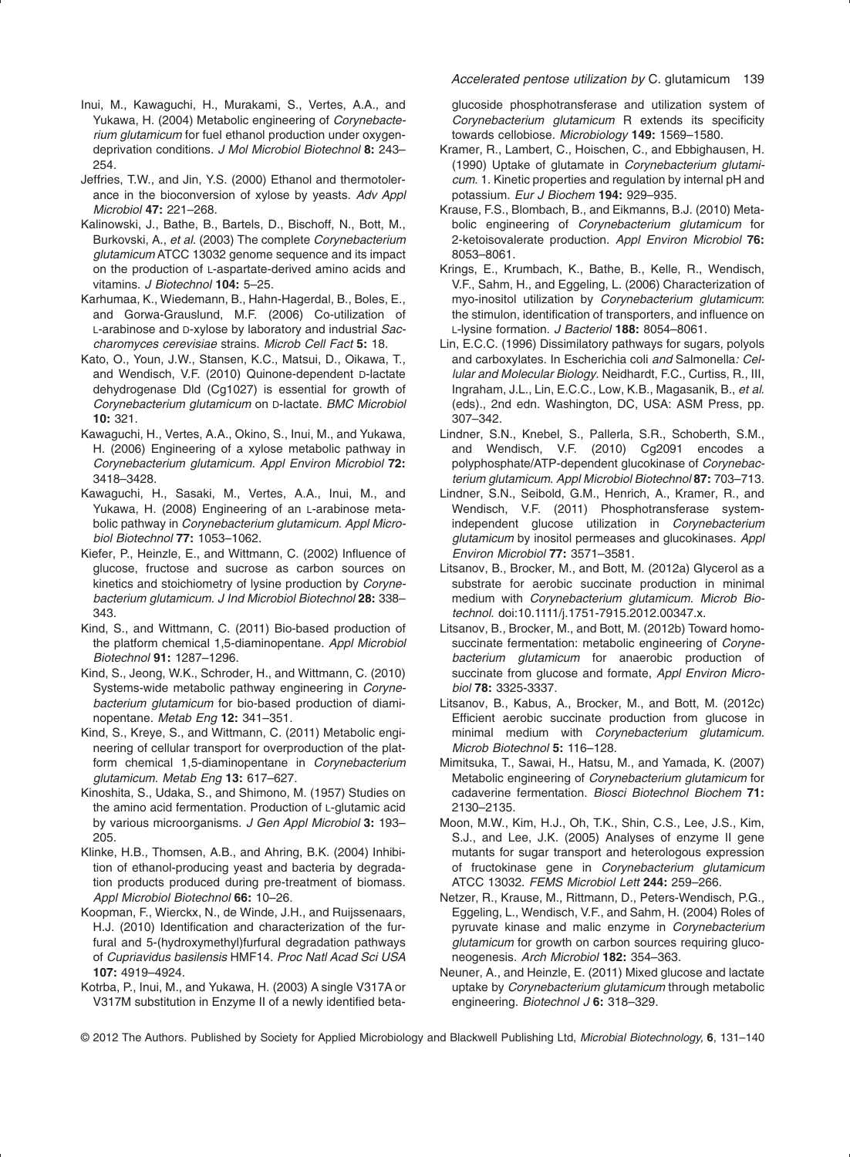- Inui, M., Kawaguchi, H., Murakami, S., Vertes, A.A., and Yukawa, H. (2004) Metabolic engineering of *Corynebacterium glutamicum* for fuel ethanol production under oxygendeprivation conditions. *J Mol Microbiol Biotechnol* **8:** 243– 254.
- Jeffries, T.W., and Jin, Y.S. (2000) Ethanol and thermotolerance in the bioconversion of xylose by yeasts. *Adv Appl Microbiol* **47:** 221–268.
- Kalinowski, J., Bathe, B., Bartels, D., Bischoff, N., Bott, M., Burkovski, A., *et al*. (2003) The complete *Corynebacterium glutamicum* ATCC 13032 genome sequence and its impact on the production of L-aspartate-derived amino acids and vitamins. *J Biotechnol* **104:** 5–25.
- Karhumaa, K., Wiedemann, B., Hahn-Hagerdal, B., Boles, E., and Gorwa-Grauslund, M.F. (2006) Co-utilization of L-arabinose and D-xylose by laboratory and industrial *Saccharomyces cerevisiae* strains. *Microb Cell Fact* **5:** 18.
- Kato, O., Youn, J.W., Stansen, K.C., Matsui, D., Oikawa, T., and Wendisch, V.F. (2010) Quinone-dependent D-lactate dehydrogenase Dld (Cg1027) is essential for growth of *Corynebacterium glutamicum* on D-lactate. *BMC Microbiol* **10:** 321.
- Kawaguchi, H., Vertes, A.A., Okino, S., Inui, M., and Yukawa, H. (2006) Engineering of a xylose metabolic pathway in *Corynebacterium glutamicum*. *Appl Environ Microbiol* **72:** 3418–3428.
- Kawaguchi, H., Sasaki, M., Vertes, A.A., Inui, M., and Yukawa, H. (2008) Engineering of an L-arabinose metabolic pathway in *Corynebacterium glutamicum*. *Appl Microbiol Biotechnol* **77:** 1053–1062.
- Kiefer, P., Heinzle, E., and Wittmann, C. (2002) Influence of glucose, fructose and sucrose as carbon sources on kinetics and stoichiometry of lysine production by *Corynebacterium glutamicum*. *J Ind Microbiol Biotechnol* **28:** 338– 343.
- Kind, S., and Wittmann, C. (2011) Bio-based production of the platform chemical 1,5-diaminopentane. *Appl Microbiol Biotechnol* **91:** 1287–1296.
- Kind, S., Jeong, W.K., Schroder, H., and Wittmann, C. (2010) Systems-wide metabolic pathway engineering in *Corynebacterium glutamicum* for bio-based production of diaminopentane. *Metab Eng* **12:** 341–351.
- Kind, S., Kreye, S., and Wittmann, C. (2011) Metabolic engineering of cellular transport for overproduction of the platform chemical 1,5-diaminopentane in *Corynebacterium glutamicum*. *Metab Eng* **13:** 617–627.
- Kinoshita, S., Udaka, S., and Shimono, M. (1957) Studies on the amino acid fermentation. Production of L-glutamic acid by various microorganisms. *J Gen Appl Microbiol* **3:** 193– 205.
- Klinke, H.B., Thomsen, A.B., and Ahring, B.K. (2004) Inhibition of ethanol-producing yeast and bacteria by degradation products produced during pre-treatment of biomass. *Appl Microbiol Biotechnol* **66:** 10–26.
- Koopman, F., Wierckx, N., de Winde, J.H., and Ruijssenaars, H.J. (2010) Identification and characterization of the furfural and 5-(hydroxymethyl)furfural degradation pathways of *Cupriavidus basilensis* HMF14. *Proc Natl Acad Sci USA* **107:** 4919–4924.
- Kotrba, P., Inui, M., and Yukawa, H. (2003) A single V317A or V317M substitution in Enzyme II of a newly identified beta-

#### *Accelerated pentose utilization by* C. glutamicum 139

glucoside phosphotransferase and utilization system of *Corynebacterium glutamicum* R extends its specificity towards cellobiose. *Microbiology* **149:** 1569–1580.

- Kramer, R., Lambert, C., Hoischen, C., and Ebbighausen, H. (1990) Uptake of glutamate in *Corynebacterium glutamicum*. 1. Kinetic properties and regulation by internal pH and potassium. *Eur J Biochem* **194:** 929–935.
- Krause, F.S., Blombach, B., and Eikmanns, B.J. (2010) Metabolic engineering of *Corynebacterium glutamicum* for 2-ketoisovalerate production. *Appl Environ Microbiol* **76:** 8053–8061.
- Krings, E., Krumbach, K., Bathe, B., Kelle, R., Wendisch, V.F., Sahm, H., and Eggeling, L. (2006) Characterization of myo-inositol utilization by *Corynebacterium glutamicum*: the stimulon, identification of transporters, and influence on L-lysine formation. *J Bacteriol* **188:** 8054–8061.
- Lin, E.C.C. (1996) Dissimilatory pathways for sugars, polyols and carboxylates. In Escherichia coli *and* Salmonella*: Cellular and Molecular Biology*. Neidhardt, F.C., Curtiss, R., III, Ingraham, J.L., Lin, E.C.C., Low, K.B., Magasanik, B., *et al*. (eds)., 2nd edn. Washington, DC, USA: ASM Press, pp. 307–342.
- Lindner, S.N., Knebel, S., Pallerla, S.R., Schoberth, S.M., and Wendisch, V.F. (2010) Cg2091 encodes a polyphosphate/ATP-dependent glucokinase of *Corynebacterium glutamicum*. *Appl Microbiol Biotechnol* **87:** 703–713.
- Lindner, S.N., Seibold, G.M., Henrich, A., Kramer, R., and Wendisch, V.F. (2011) Phosphotransferase systemindependent glucose utilization in *Corynebacterium glutamicum* by inositol permeases and glucokinases. *Appl Environ Microbiol* **77:** 3571–3581.
- Litsanov, B., Brocker, M., and Bott, M. (2012a) Glycerol as a substrate for aerobic succinate production in minimal medium with *Corynebacterium glutamicum*. *Microb Biotechnol*. doi:10.1111/j.1751-7915.2012.00347.x.
- Litsanov, B., Brocker, M., and Bott, M. (2012b) Toward homosuccinate fermentation: metabolic engineering of *Corynebacterium glutamicum* for anaerobic production of succinate from glucose and formate, *Appl Environ Microbiol* **78:** 3325-3337.
- Litsanov, B., Kabus, A., Brocker, M., and Bott, M. (2012c) Efficient aerobic succinate production from glucose in minimal medium with *Corynebacterium glutamicum*. *Microb Biotechnol* **5:** 116–128.
- Mimitsuka, T., Sawai, H., Hatsu, M., and Yamada, K. (2007) Metabolic engineering of *Corynebacterium glutamicum* for cadaverine fermentation. *Biosci Biotechnol Biochem* **71:** 2130–2135.
- Moon, M.W., Kim, H.J., Oh, T.K., Shin, C.S., Lee, J.S., Kim, S.J., and Lee, J.K. (2005) Analyses of enzyme II gene mutants for sugar transport and heterologous expression of fructokinase gene in *Corynebacterium glutamicum* ATCC 13032. *FEMS Microbiol Lett* **244:** 259–266.
- Netzer, R., Krause, M., Rittmann, D., Peters-Wendisch, P.G., Eggeling, L., Wendisch, V.F., and Sahm, H. (2004) Roles of pyruvate kinase and malic enzyme in *Corynebacterium glutamicum* for growth on carbon sources requiring gluconeogenesis. *Arch Microbiol* **182:** 354–363.
- Neuner, A., and Heinzle, E. (2011) Mixed glucose and lactate uptake by *Corynebacterium glutamicum* through metabolic engineering. *Biotechnol J* **6:** 318–329.

<sup>© 2012</sup> The Authors. Published by Society for Applied Microbiology and Blackwell Publishing Ltd, *Microbial Biotechnology,* **6**, 131–140